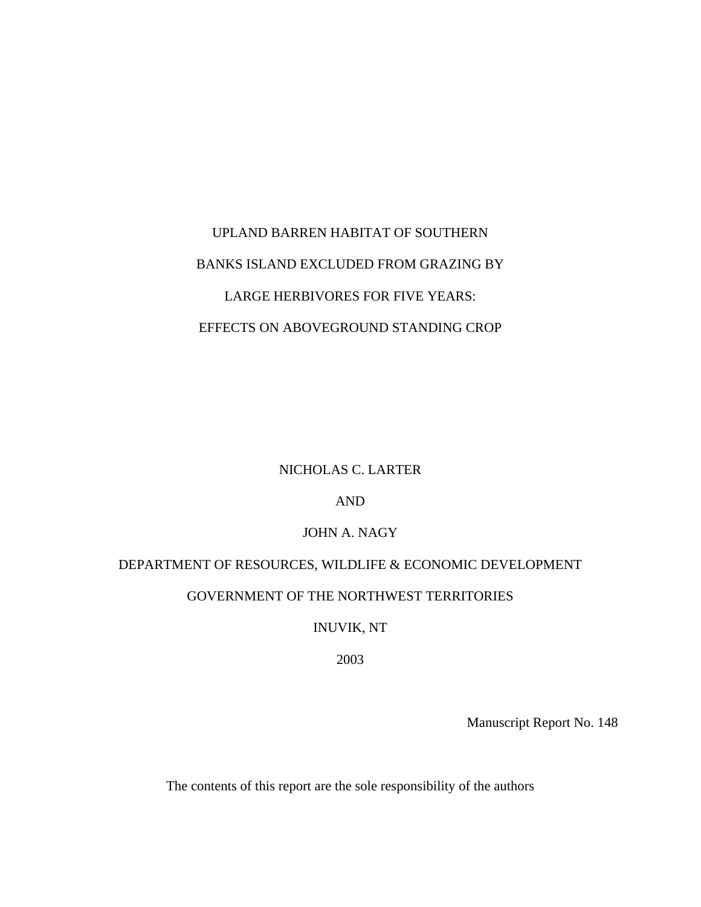# UPLAND BARREN HABITAT OF SOUTHERN BANKS ISLAND EXCLUDED FROM GRAZING BY LARGE HERBIVORES FOR FIVE YEARS: EFFECTS ON ABOVEGROUND STANDING CROP

# NICHOLAS C. LARTER

# AND

### JOHN A. NAGY

# DEPARTMENT OF RESOURCES, WILDLIFE & ECONOMIC DEVELOPMENT GOVERNMENT OF THE NORTHWEST TERRITORIES

# INUVIK, NT

### 2003

Manuscript Report No. 148

The contents of this report are the sole responsibility of the authors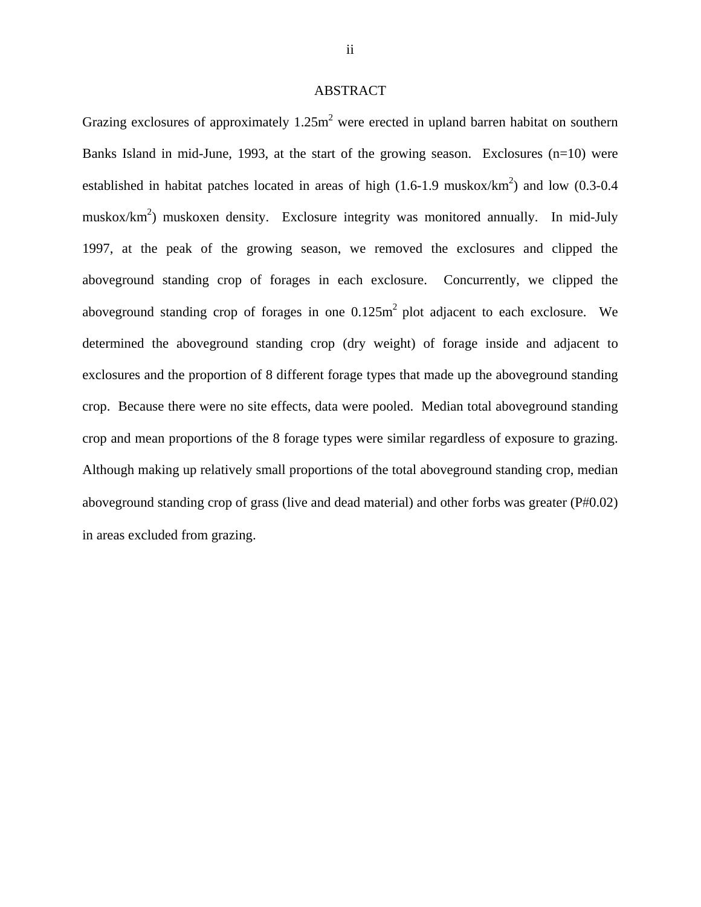### ABSTRACT

Grazing exclosures of approximately  $1.25m<sup>2</sup>$  were erected in upland barren habitat on southern Banks Island in mid-June, 1993, at the start of the growing season. Exclosures  $(n=10)$  were established in habitat patches located in areas of high  $(1.6-1.9 \text{ muskox/km}^2)$  and low  $(0.3-0.4 \text{ m})$ muskox/km<sup>2</sup>) muskoxen density. Exclosure integrity was monitored annually. In mid-July 1997, at the peak of the growing season, we removed the exclosures and clipped the aboveground standing crop of forages in each exclosure. Concurrently, we clipped the aboveground standing crop of forages in one  $0.125m<sup>2</sup>$  plot adjacent to each exclosure. We determined the aboveground standing crop (dry weight) of forage inside and adjacent to exclosures and the proportion of 8 different forage types that made up the aboveground standing crop. Because there were no site effects, data were pooled. Median total aboveground standing crop and mean proportions of the 8 forage types were similar regardless of exposure to grazing. Although making up relatively small proportions of the total aboveground standing crop, median aboveground standing crop of grass (live and dead material) and other forbs was greater (P#0.02) in areas excluded from grazing.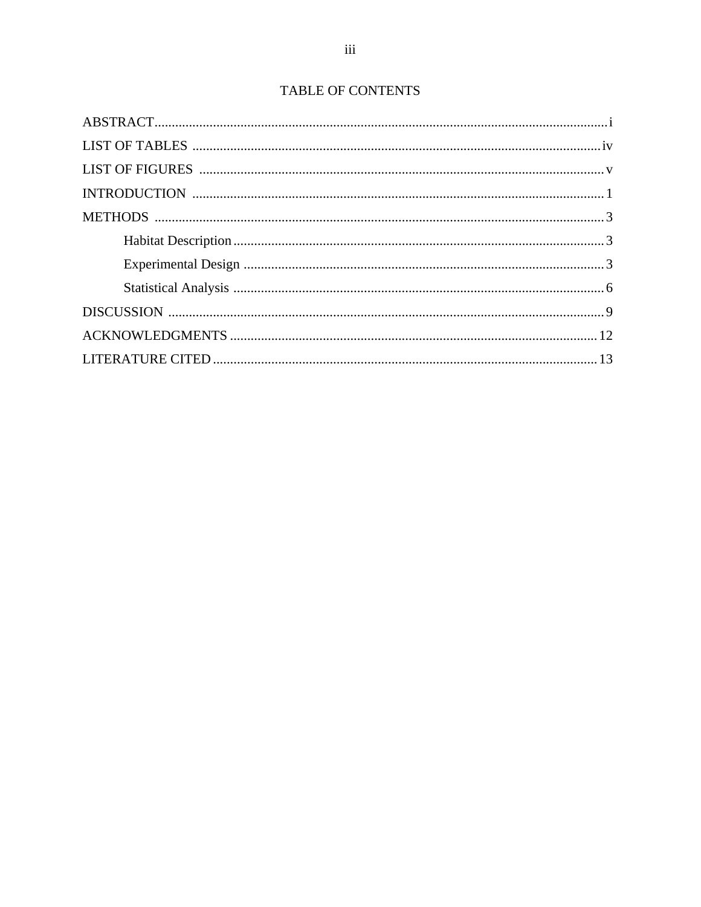# TABLE OF CONTENTS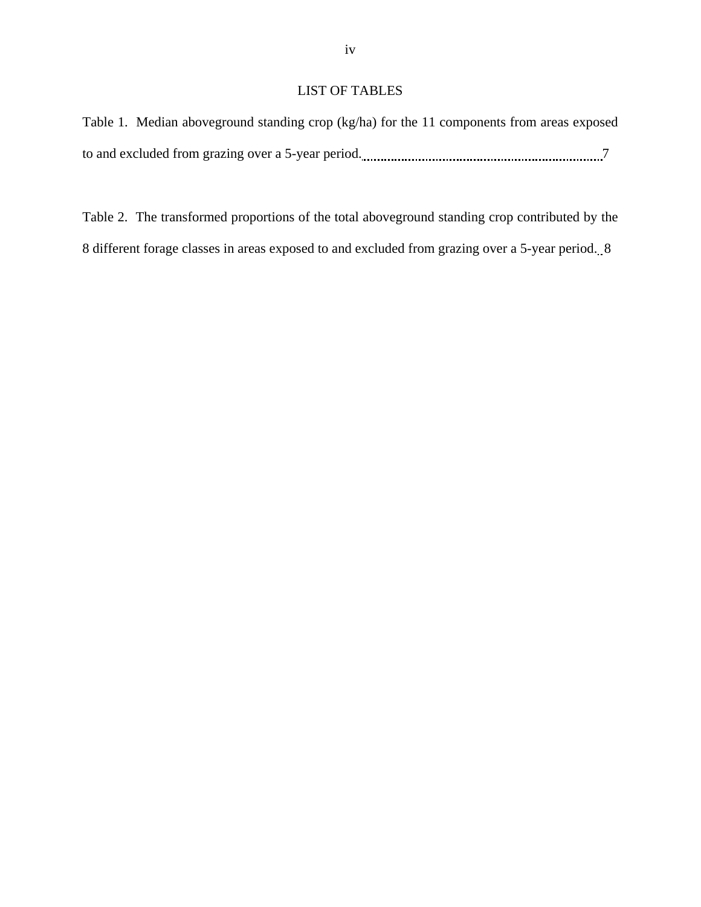# LIST OF TABLES

```
Table 1. Median aboveground standing crop (kg/ha) for the 11 components from areas exposed 
to and excluded from grazing over a 5-year period. 7
```
Table 2. The transformed proportions of the total aboveground standing crop contributed by the 8 different forage classes in areas exposed to and excluded from grazing over a 5-year period. 8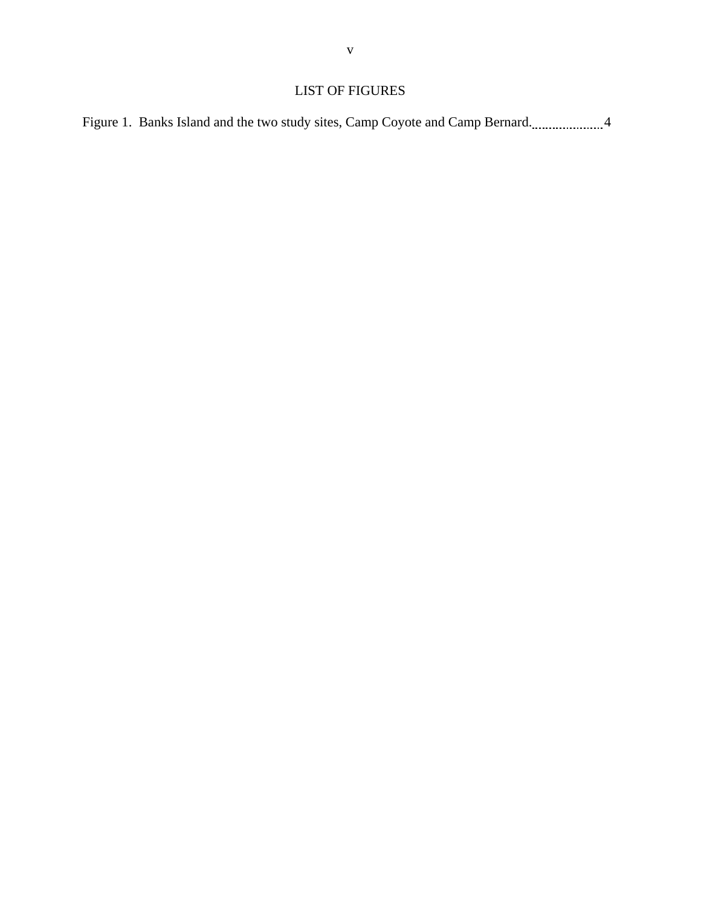# LIST OF FIGURES

Figure 1. Banks Island and the two study sites, Camp Coyote and Camp Bernard........................4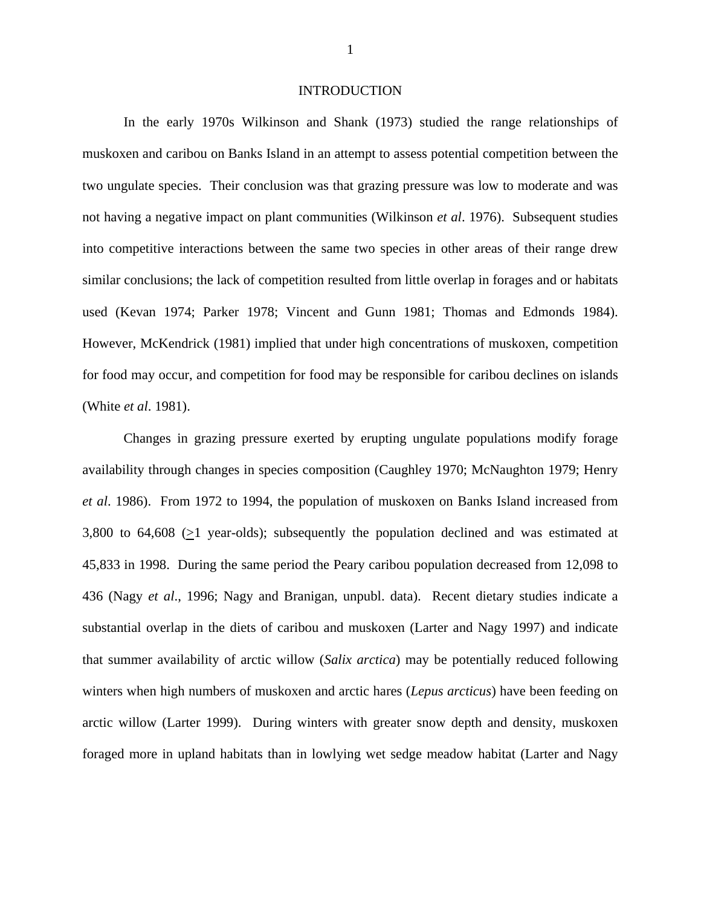### INTRODUCTION

In the early 1970s Wilkinson and Shank (1973) studied the range relationships of muskoxen and caribou on Banks Island in an attempt to assess potential competition between the two ungulate species. Their conclusion was that grazing pressure was low to moderate and was not having a negative impact on plant communities (Wilkinson *et al*. 1976). Subsequent studies into competitive interactions between the same two species in other areas of their range drew similar conclusions; the lack of competition resulted from little overlap in forages and or habitats used (Kevan 1974; Parker 1978; Vincent and Gunn 1981; Thomas and Edmonds 1984). However, McKendrick (1981) implied that under high concentrations of muskoxen, competition for food may occur, and competition for food may be responsible for caribou declines on islands (White *et al*. 1981).

Changes in grazing pressure exerted by erupting ungulate populations modify forage availability through changes in species composition (Caughley 1970; McNaughton 1979; Henry *et al*. 1986). From 1972 to 1994, the population of muskoxen on Banks Island increased from 3,800 to 64,608 (>1 year-olds); subsequently the population declined and was estimated at 45,833 in 1998. During the same period the Peary caribou population decreased from 12,098 to 436 (Nagy *et al*., 1996; Nagy and Branigan, unpubl. data). Recent dietary studies indicate a substantial overlap in the diets of caribou and muskoxen (Larter and Nagy 1997) and indicate that summer availability of arctic willow (*Salix arctica*) may be potentially reduced following winters when high numbers of muskoxen and arctic hares (*Lepus arcticus*) have been feeding on arctic willow (Larter 1999). During winters with greater snow depth and density, muskoxen foraged more in upland habitats than in lowlying wet sedge meadow habitat (Larter and Nagy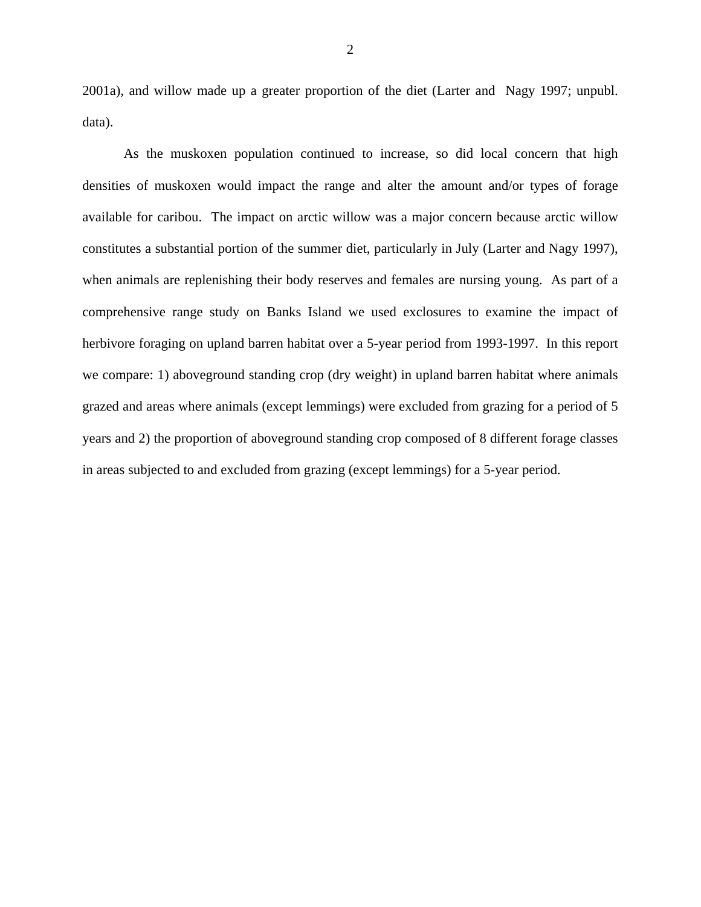2001a), and willow made up a greater proportion of the diet (Larter and Nagy 1997; unpubl. data).

As the muskoxen population continued to increase, so did local concern that high densities of muskoxen would impact the range and alter the amount and/or types of forage available for caribou. The impact on arctic willow was a major concern because arctic willow constitutes a substantial portion of the summer diet, particularly in July (Larter and Nagy 1997), when animals are replenishing their body reserves and females are nursing young. As part of a comprehensive range study on Banks Island we used exclosures to examine the impact of herbivore foraging on upland barren habitat over a 5-year period from 1993-1997. In this report we compare: 1) aboveground standing crop (dry weight) in upland barren habitat where animals grazed and areas where animals (except lemmings) were excluded from grazing for a period of 5 years and 2) the proportion of aboveground standing crop composed of 8 different forage classes in areas subjected to and excluded from grazing (except lemmings) for a 5-year period.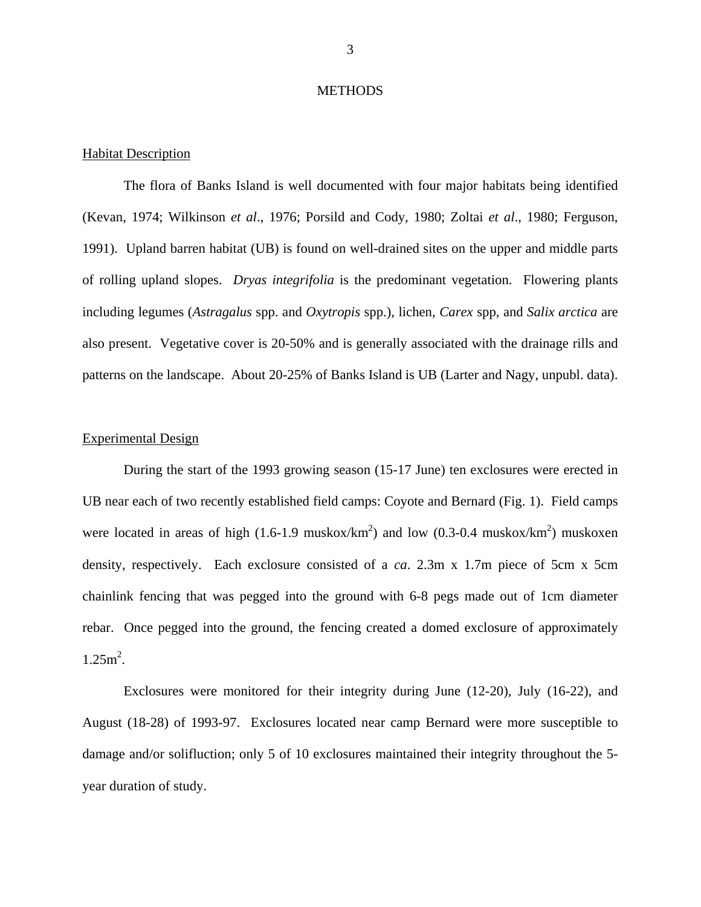### **METHODS**

### Habitat Description

 The flora of Banks Island is well documented with four major habitats being identified (Kevan, 1974; Wilkinson *et al*., 1976; Porsild and Cody, 1980; Zoltai *et al*., 1980; Ferguson, 1991). Upland barren habitat (UB) is found on well-drained sites on the upper and middle parts of rolling upland slopes. *Dryas integrifolia* is the predominant vegetation. Flowering plants including legumes (*Astragalus* spp. and *Oxytropis* spp.), lichen, *Carex* spp, and *Salix arctica* are also present. Vegetative cover is 20-50% and is generally associated with the drainage rills and patterns on the landscape. About 20-25% of Banks Island is UB (Larter and Nagy, unpubl. data).

### Experimental Design

 During the start of the 1993 growing season (15-17 June) ten exclosures were erected in UB near each of two recently established field camps: Coyote and Bernard (Fig. 1). Field camps were located in areas of high (1.6-1.9 muskox/km<sup>2</sup>) and low (0.3-0.4 muskox/km<sup>2</sup>) muskoxen density, respectively. Each exclosure consisted of a *ca*. 2.3m x 1.7m piece of 5cm x 5cm chainlink fencing that was pegged into the ground with 6-8 pegs made out of 1cm diameter rebar. Once pegged into the ground, the fencing created a domed exclosure of approximately  $1.25m^2$ .

Exclosures were monitored for their integrity during June (12-20), July (16-22), and August (18-28) of 1993-97. Exclosures located near camp Bernard were more susceptible to damage and/or solifluction; only 5 of 10 exclosures maintained their integrity throughout the 5 year duration of study.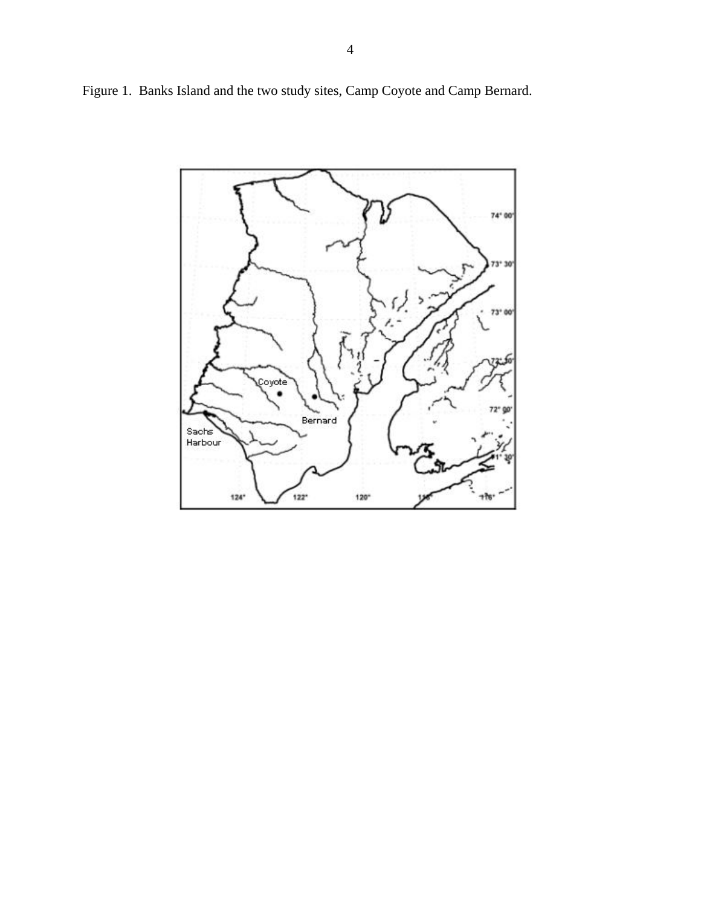Figure 1. Banks Island and the two study sites, Camp Coyote and Camp Bernard.

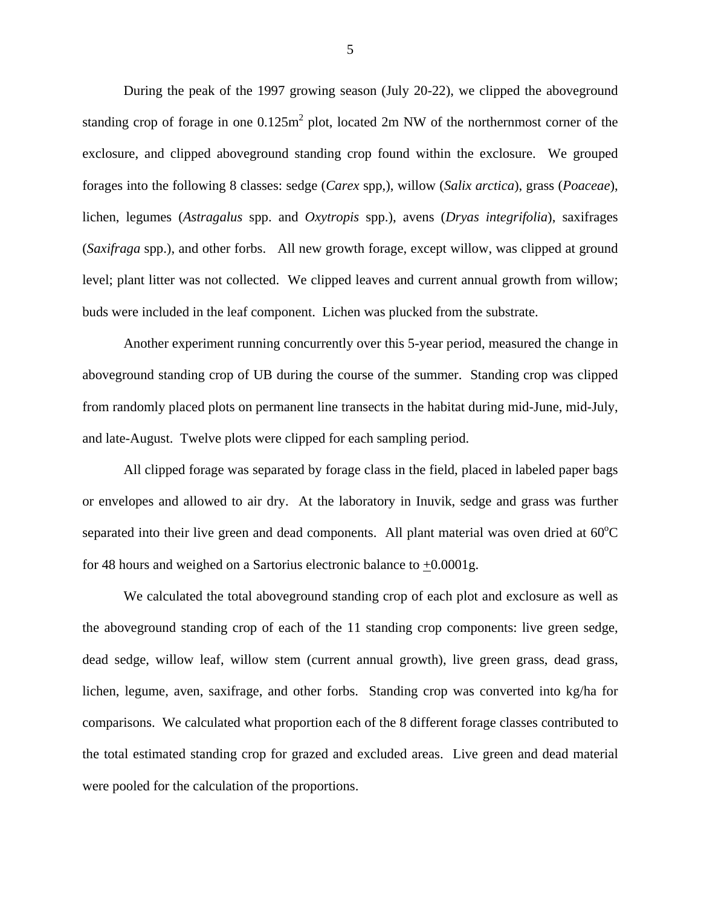During the peak of the 1997 growing season (July 20-22), we clipped the aboveground standing crop of forage in one  $0.125m^2$  plot, located 2m NW of the northernmost corner of the exclosure, and clipped aboveground standing crop found within the exclosure. We grouped forages into the following 8 classes: sedge (*Carex* spp,), willow (*Salix arctica*), grass (*Poaceae*), lichen, legumes (*Astragalus* spp. and *Oxytropis* spp.), avens (*Dryas integrifolia*), saxifrages (*Saxifraga* spp.), and other forbs. All new growth forage, except willow, was clipped at ground level; plant litter was not collected. We clipped leaves and current annual growth from willow; buds were included in the leaf component. Lichen was plucked from the substrate.

Another experiment running concurrently over this 5-year period, measured the change in aboveground standing crop of UB during the course of the summer. Standing crop was clipped from randomly placed plots on permanent line transects in the habitat during mid-June, mid-July, and late-August. Twelve plots were clipped for each sampling period.

All clipped forage was separated by forage class in the field, placed in labeled paper bags or envelopes and allowed to air dry. At the laboratory in Inuvik, sedge and grass was further separated into their live green and dead components. All plant material was oven dried at  $60^{\circ}$ C for 48 hours and weighed on a Sartorius electronic balance to +0.0001g.

We calculated the total aboveground standing crop of each plot and exclosure as well as the aboveground standing crop of each of the 11 standing crop components: live green sedge, dead sedge, willow leaf, willow stem (current annual growth), live green grass, dead grass, lichen, legume, aven, saxifrage, and other forbs. Standing crop was converted into kg/ha for comparisons. We calculated what proportion each of the 8 different forage classes contributed to the total estimated standing crop for grazed and excluded areas. Live green and dead material were pooled for the calculation of the proportions.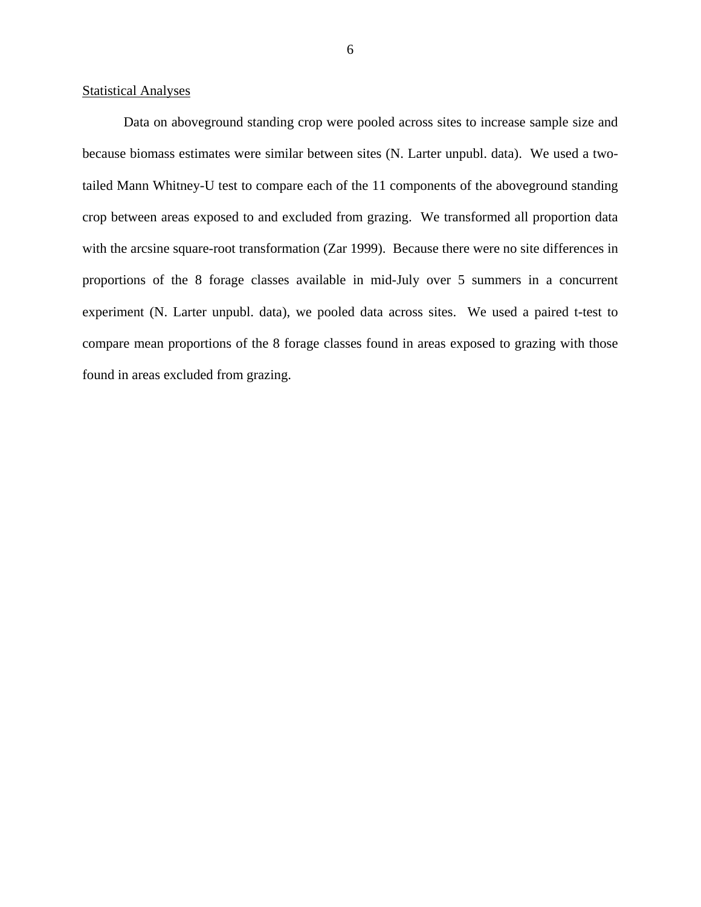### **Statistical Analyses**

 Data on aboveground standing crop were pooled across sites to increase sample size and because biomass estimates were similar between sites (N. Larter unpubl. data). We used a twotailed Mann Whitney-U test to compare each of the 11 components of the aboveground standing crop between areas exposed to and excluded from grazing. We transformed all proportion data with the arcsine square-root transformation (Zar 1999). Because there were no site differences in proportions of the 8 forage classes available in mid-July over 5 summers in a concurrent experiment (N. Larter unpubl. data), we pooled data across sites. We used a paired t-test to compare mean proportions of the 8 forage classes found in areas exposed to grazing with those found in areas excluded from grazing.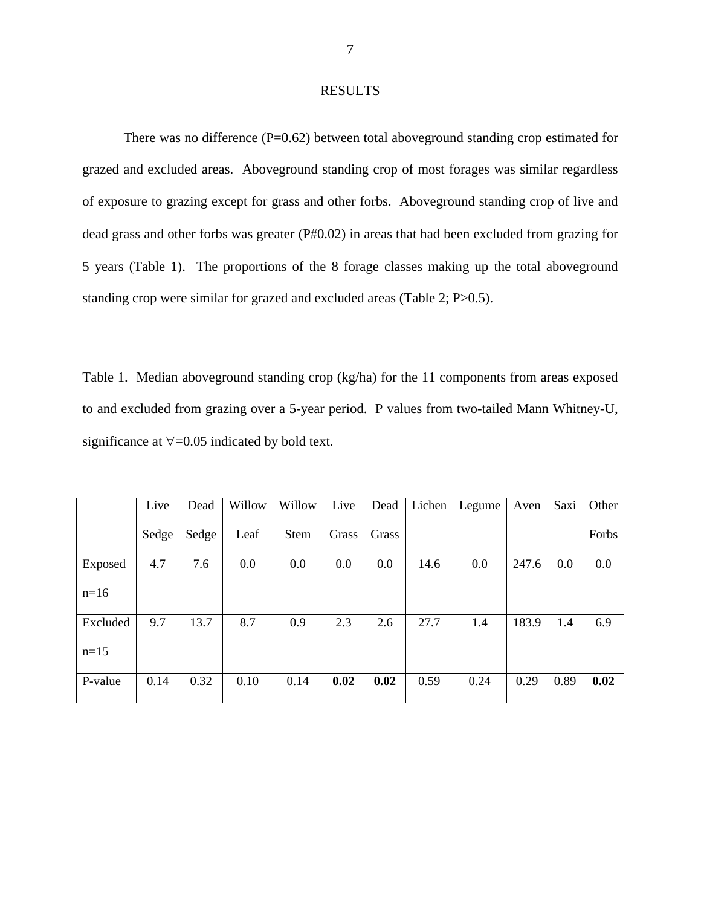### RESULTS

There was no difference (P=0.62) between total aboveground standing crop estimated for grazed and excluded areas. Aboveground standing crop of most forages was similar regardless of exposure to grazing except for grass and other forbs. Aboveground standing crop of live and dead grass and other forbs was greater (P#0.02) in areas that had been excluded from grazing for 5 years (Table 1). The proportions of the 8 forage classes making up the total aboveground standing crop were similar for grazed and excluded areas (Table 2; P>0.5).

Table 1. Median aboveground standing crop (kg/ha) for the 11 components from areas exposed to and excluded from grazing over a 5-year period. P values from two-tailed Mann Whitney-U, significance at ∀=0.05 indicated by bold text.

|          | Live  | Dead  | Willow | Willow      | Live  | Dead  | Lichen | Legume | Aven  | Saxi | Other |
|----------|-------|-------|--------|-------------|-------|-------|--------|--------|-------|------|-------|
|          | Sedge | Sedge | Leaf   | <b>Stem</b> | Grass | Grass |        |        |       |      | Forbs |
| Exposed  | 4.7   | 7.6   | 0.0    | 0.0         | 0.0   | 0.0   | 14.6   | 0.0    | 247.6 | 0.0  | 0.0   |
| $n=16$   |       |       |        |             |       |       |        |        |       |      |       |
| Excluded | 9.7   | 13.7  | 8.7    | 0.9         | 2.3   | 2.6   | 27.7   | 1.4    | 183.9 | 1.4  | 6.9   |
| $n=15$   |       |       |        |             |       |       |        |        |       |      |       |
| P-value  | 0.14  | 0.32  | 0.10   | 0.14        | 0.02  | 0.02  | 0.59   | 0.24   | 0.29  | 0.89 | 0.02  |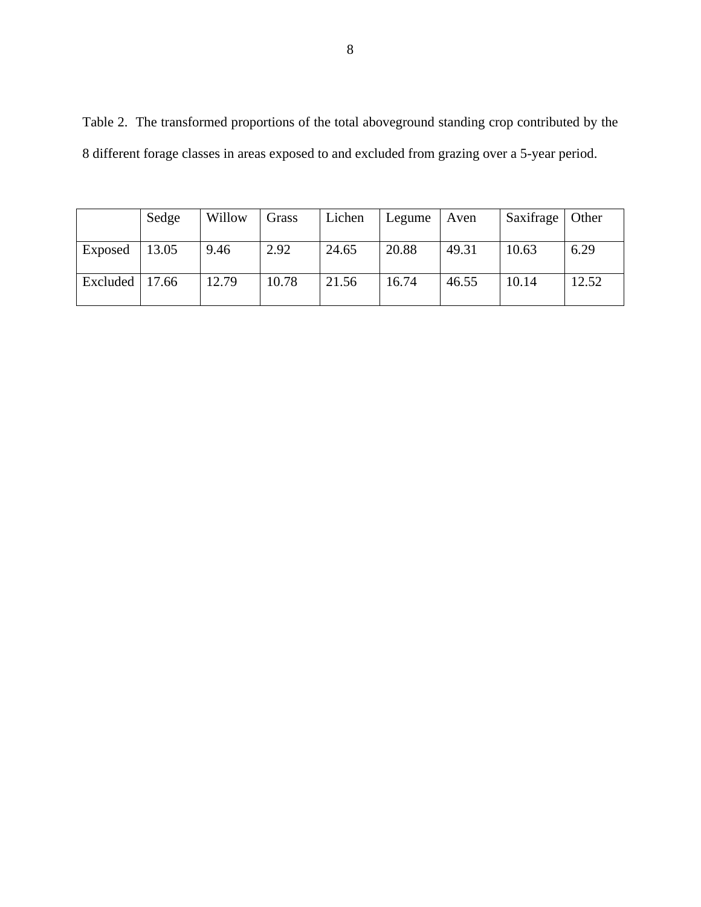Table 2. The transformed proportions of the total aboveground standing crop contributed by the 8 different forage classes in areas exposed to and excluded from grazing over a 5-year period.

|                    | Sedge | Willow | Grass | Lichen | Legume | Aven  | Saxifrage   Other |       |
|--------------------|-------|--------|-------|--------|--------|-------|-------------------|-------|
|                    |       |        |       |        |        |       |                   |       |
| Exposed            | 13.05 | 9.46   | 2.92  | 24.65  | 20.88  | 49.31 | 10.63             | 6.29  |
| Excluded   $17.66$ |       | 12.79  | 10.78 | 21.56  | 16.74  | 46.55 | 10.14             | 12.52 |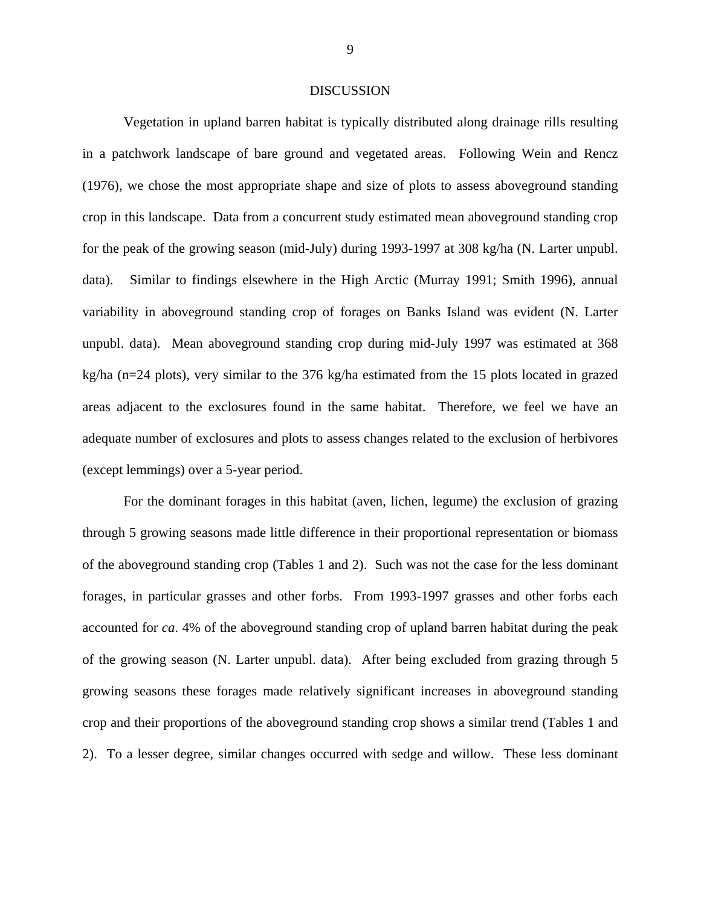#### DISCUSSION

Vegetation in upland barren habitat is typically distributed along drainage rills resulting in a patchwork landscape of bare ground and vegetated areas. Following Wein and Rencz (1976), we chose the most appropriate shape and size of plots to assess aboveground standing crop in this landscape. Data from a concurrent study estimated mean aboveground standing crop for the peak of the growing season (mid-July) during 1993-1997 at 308 kg/ha (N. Larter unpubl. data). Similar to findings elsewhere in the High Arctic (Murray 1991; Smith 1996), annual variability in aboveground standing crop of forages on Banks Island was evident (N. Larter unpubl. data). Mean aboveground standing crop during mid-July 1997 was estimated at 368 kg/ha (n=24 plots), very similar to the 376 kg/ha estimated from the 15 plots located in grazed areas adjacent to the exclosures found in the same habitat. Therefore, we feel we have an adequate number of exclosures and plots to assess changes related to the exclusion of herbivores (except lemmings) over a 5-year period.

For the dominant forages in this habitat (aven, lichen, legume) the exclusion of grazing through 5 growing seasons made little difference in their proportional representation or biomass of the aboveground standing crop (Tables 1 and 2). Such was not the case for the less dominant forages, in particular grasses and other forbs. From 1993-1997 grasses and other forbs each accounted for *ca*. 4% of the aboveground standing crop of upland barren habitat during the peak of the growing season (N. Larter unpubl. data). After being excluded from grazing through 5 growing seasons these forages made relatively significant increases in aboveground standing crop and their proportions of the aboveground standing crop shows a similar trend (Tables 1 and 2). To a lesser degree, similar changes occurred with sedge and willow. These less dominant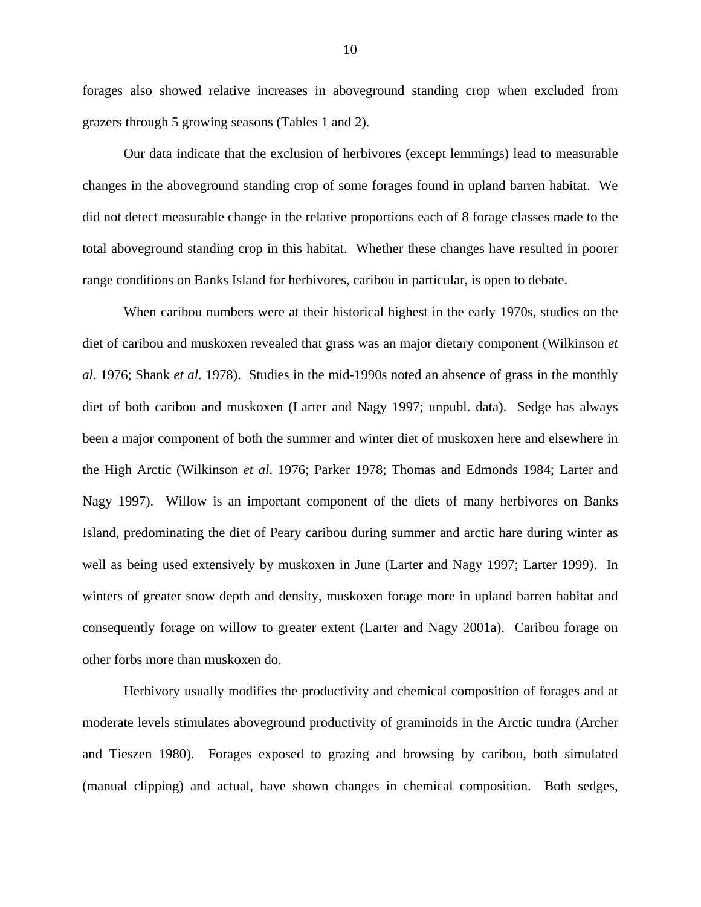forages also showed relative increases in aboveground standing crop when excluded from grazers through 5 growing seasons (Tables 1 and 2).

Our data indicate that the exclusion of herbivores (except lemmings) lead to measurable changes in the aboveground standing crop of some forages found in upland barren habitat. We did not detect measurable change in the relative proportions each of 8 forage classes made to the total aboveground standing crop in this habitat. Whether these changes have resulted in poorer range conditions on Banks Island for herbivores, caribou in particular, is open to debate.

When caribou numbers were at their historical highest in the early 1970s, studies on the diet of caribou and muskoxen revealed that grass was an major dietary component (Wilkinson *et al*. 1976; Shank *et al*. 1978). Studies in the mid-1990s noted an absence of grass in the monthly diet of both caribou and muskoxen (Larter and Nagy 1997; unpubl. data). Sedge has always been a major component of both the summer and winter diet of muskoxen here and elsewhere in the High Arctic (Wilkinson *et al*. 1976; Parker 1978; Thomas and Edmonds 1984; Larter and Nagy 1997). Willow is an important component of the diets of many herbivores on Banks Island, predominating the diet of Peary caribou during summer and arctic hare during winter as well as being used extensively by muskoxen in June (Larter and Nagy 1997; Larter 1999). In winters of greater snow depth and density, muskoxen forage more in upland barren habitat and consequently forage on willow to greater extent (Larter and Nagy 2001a). Caribou forage on other forbs more than muskoxen do.

Herbivory usually modifies the productivity and chemical composition of forages and at moderate levels stimulates aboveground productivity of graminoids in the Arctic tundra (Archer and Tieszen 1980). Forages exposed to grazing and browsing by caribou, both simulated (manual clipping) and actual, have shown changes in chemical composition. Both sedges,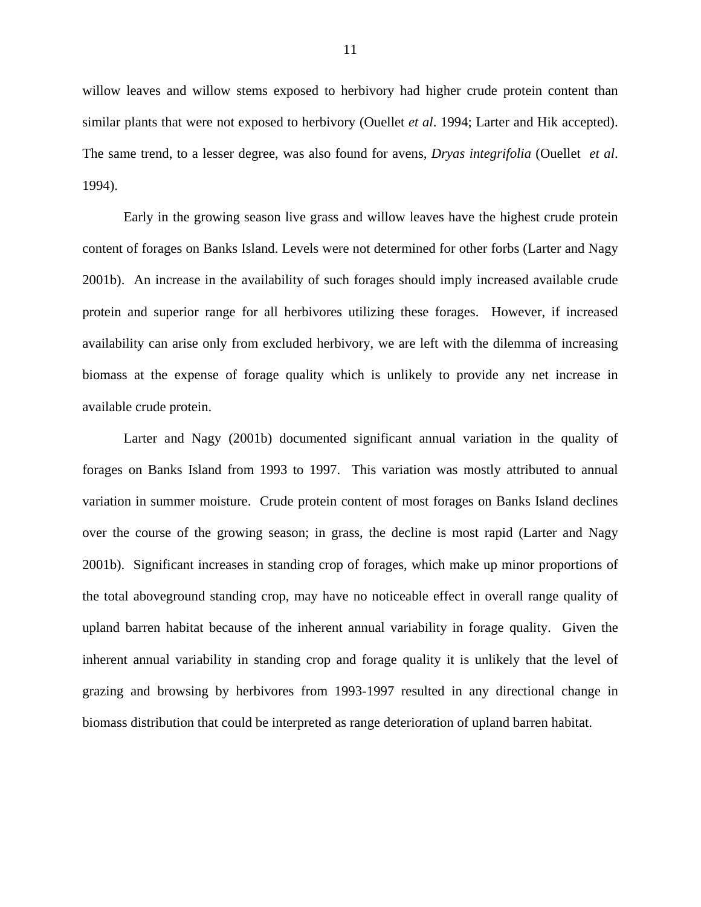willow leaves and willow stems exposed to herbivory had higher crude protein content than similar plants that were not exposed to herbivory (Ouellet *et al*. 1994; Larter and Hik accepted). The same trend, to a lesser degree, was also found for avens, *Dryas integrifolia* (Ouellet *et al*. 1994).

Early in the growing season live grass and willow leaves have the highest crude protein content of forages on Banks Island. Levels were not determined for other forbs (Larter and Nagy 2001b). An increase in the availability of such forages should imply increased available crude protein and superior range for all herbivores utilizing these forages. However, if increased availability can arise only from excluded herbivory, we are left with the dilemma of increasing biomass at the expense of forage quality which is unlikely to provide any net increase in available crude protein.

Larter and Nagy (2001b) documented significant annual variation in the quality of forages on Banks Island from 1993 to 1997. This variation was mostly attributed to annual variation in summer moisture. Crude protein content of most forages on Banks Island declines over the course of the growing season; in grass, the decline is most rapid (Larter and Nagy 2001b). Significant increases in standing crop of forages, which make up minor proportions of the total aboveground standing crop, may have no noticeable effect in overall range quality of upland barren habitat because of the inherent annual variability in forage quality. Given the inherent annual variability in standing crop and forage quality it is unlikely that the level of grazing and browsing by herbivores from 1993-1997 resulted in any directional change in biomass distribution that could be interpreted as range deterioration of upland barren habitat.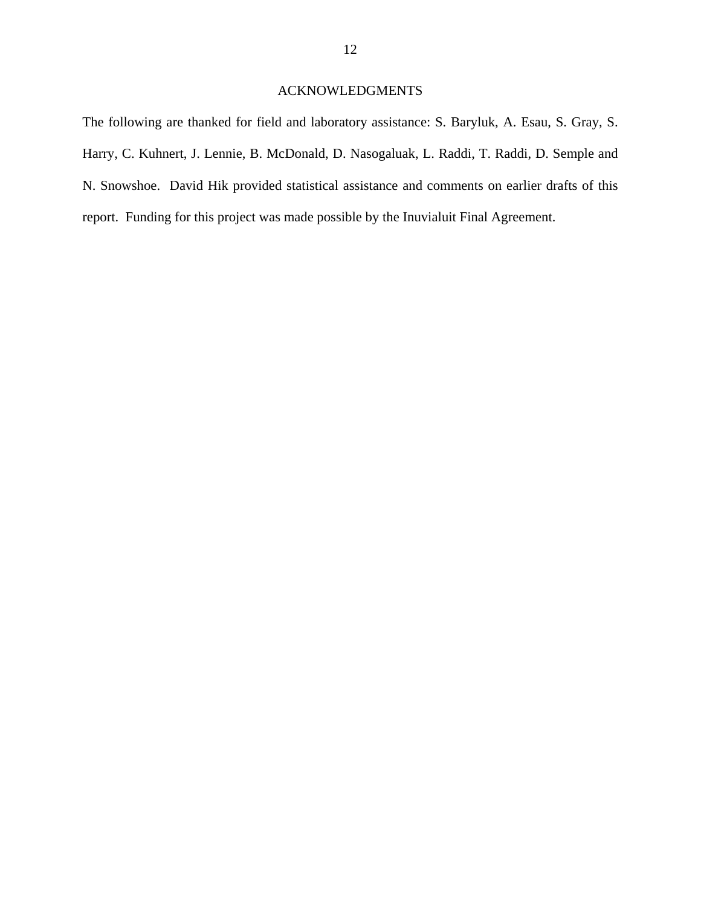# ACKNOWLEDGMENTS

The following are thanked for field and laboratory assistance: S. Baryluk, A. Esau, S. Gray, S. Harry, C. Kuhnert, J. Lennie, B. McDonald, D. Nasogaluak, L. Raddi, T. Raddi, D. Semple and N. Snowshoe. David Hik provided statistical assistance and comments on earlier drafts of this report. Funding for this project was made possible by the Inuvialuit Final Agreement.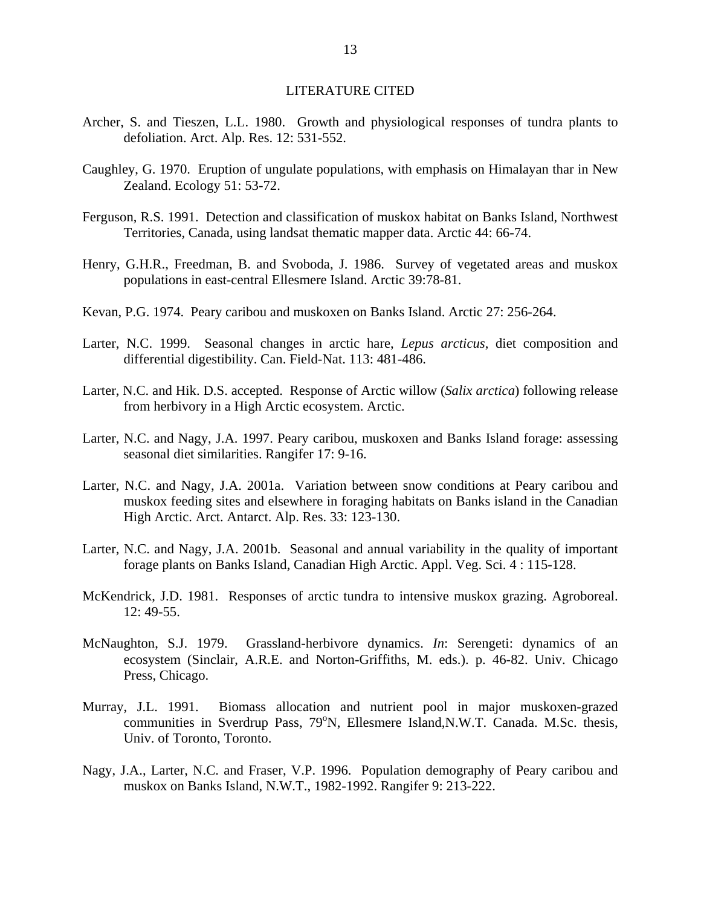### LITERATURE CITED

- Archer, S. and Tieszen, L.L. 1980. Growth and physiological responses of tundra plants to defoliation. Arct. Alp. Res. 12: 531-552.
- Caughley, G. 1970. Eruption of ungulate populations, with emphasis on Himalayan thar in New Zealand. Ecology 51: 53-72.
- Ferguson, R.S. 1991. Detection and classification of muskox habitat on Banks Island, Northwest Territories, Canada, using landsat thematic mapper data. Arctic 44: 66-74.
- Henry, G.H.R., Freedman, B. and Svoboda, J. 1986. Survey of vegetated areas and muskox populations in east-central Ellesmere Island. Arctic 39:78-81.
- Kevan, P.G. 1974. Peary caribou and muskoxen on Banks Island. Arctic 27: 256-264.
- Larter, N.C. 1999. Seasonal changes in arctic hare, *Lepus arcticus*, diet composition and differential digestibility. Can. Field-Nat. 113: 481-486.
- Larter, N.C. and Hik. D.S. accepted. Response of Arctic willow (*Salix arctica*) following release from herbivory in a High Arctic ecosystem. Arctic.
- Larter, N.C. and Nagy, J.A. 1997. Peary caribou, muskoxen and Banks Island forage: assessing seasonal diet similarities. Rangifer 17: 9-16.
- Larter, N.C. and Nagy, J.A. 2001a. Variation between snow conditions at Peary caribou and muskox feeding sites and elsewhere in foraging habitats on Banks island in the Canadian High Arctic. Arct. Antarct. Alp. Res. 33: 123-130.
- Larter, N.C. and Nagy, J.A. 2001b. Seasonal and annual variability in the quality of important forage plants on Banks Island, Canadian High Arctic. Appl. Veg. Sci. 4 : 115-128.
- McKendrick, J.D. 1981. Responses of arctic tundra to intensive muskox grazing. Agroboreal. 12: 49-55.
- McNaughton, S.J. 1979. Grassland-herbivore dynamics. *In*: Serengeti: dynamics of an ecosystem (Sinclair, A.R.E. and Norton-Griffiths, M. eds.). p. 46-82. Univ. Chicago Press, Chicago.
- Murray, J.L. 1991. Biomass allocation and nutrient pool in major muskoxen-grazed communities in Sverdrup Pass, 79°N, Ellesmere Island, N.W.T. Canada. M.Sc. thesis, Univ. of Toronto, Toronto.
- Nagy, J.A., Larter, N.C. and Fraser, V.P. 1996. Population demography of Peary caribou and muskox on Banks Island, N.W.T., 1982-1992. Rangifer 9: 213-222.